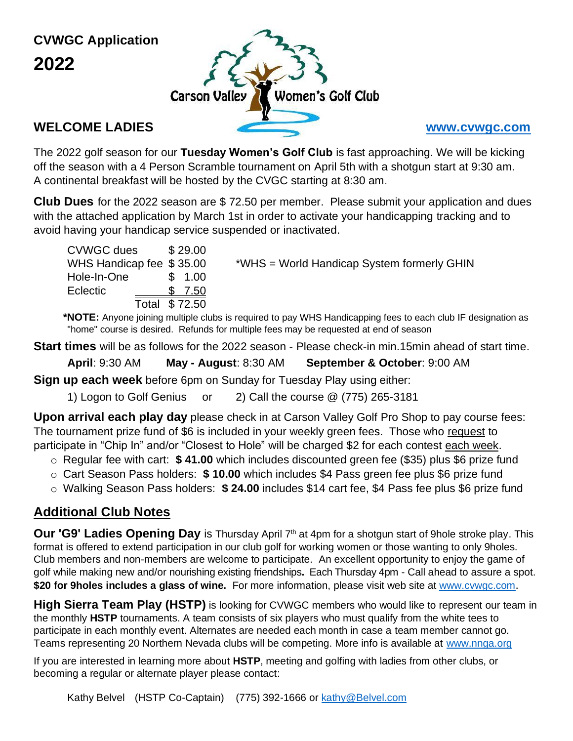**CVWGC Application 2022**



The 2022 golf season for our **Tuesday Women's Golf Club** is fast approaching. We will be kicking off the season with a 4 Person Scramble tournament on April 5th with a shotgun start at 9:30 am. A continental breakfast will be hosted by the CVGC starting at 8:30 am.

**Club Dues** for the 2022 season are \$ 72.50 per member. Please submit your application and dues with the attached application by March 1st in order to activate your handicapping tracking and to avoid having your handicap service suspended or inactivated.

| <b>CVWGC dues</b>        |               | \$29.00 |
|--------------------------|---------------|---------|
| WHS Handicap fee \$35.00 |               |         |
| Hole-In-One              |               | \$1.00  |
| Eclectic                 |               | \$7.50  |
|                          | Total \$72.50 |         |

 $*WHS = World Handicap System formerly GHIN$ 

**\*NOTE:** Anyone joining multiple clubs is required to pay WHS Handicapping fees to each club IF designation as "home" course is desired. Refunds for multiple fees may be requested at end of season

**Start times** will be as follows for the 2022 season - Please check-in min.15min ahead of start time.

**April**: 9:30 AM **May - August**: 8:30 AM **September & October**: 9:00 AM

**Sign up each week** before 6pm on Sunday for Tuesday Play using either:

1) Logon to Golf Genius or 2) Call the course @ (775) 265-3181

**Upon arrival each play day** please check in at Carson Valley Golf Pro Shop to pay course fees: The tournament prize fund of \$6 is included in your weekly green fees. Those who request to participate in "Chip In" and/or "Closest to Hole" will be charged \$2 for each contest each week.

- o Regular fee with cart: **\$ 41.00** which includes discounted green fee (\$35) plus \$6 prize fund
- o Cart Season Pass holders: **\$ 10.00** which includes \$4 Pass green fee plus \$6 prize fund
- o Walking Season Pass holders: **\$ 24.00** includes \$14 cart fee, \$4 Pass fee plus \$6 prize fund

# **Additional Club Notes**

Our 'G9' Ladies Opening Day is Thursday April 7<sup>th</sup> at 4pm for a shotgun start of 9hole stroke play. This format is offered to extend participation in our club golf for working women or those wanting to only 9holes. Club members and non-members are welcome to participate. An excellent opportunity to enjoy the game of golf while making new and/or nourishing existing friendships**.** Each Thursday 4pm - Call ahead to assure a spot. **\$20 for 9holes includes a glass of wine.** For more information, please visit web site at [www.cvwgc.com](http://www.cvwgc.com/).

**High Sierra Team Play (HSTP)** is looking for CVWGC members who would like to represent our team in the monthly **HSTP** tournaments. A team consists of six players who must qualify from the white tees to participate in each monthly event. Alternates are needed each month in case a team member cannot go. Teams representing 20 Northern Nevada clubs will be competing. More info is available at [www.nnga.org](http://www.nnga.org/)

If you are interested in learning more about **HSTP**, meeting and golfing with ladies from other clubs, or becoming a regular or alternate player please contact: